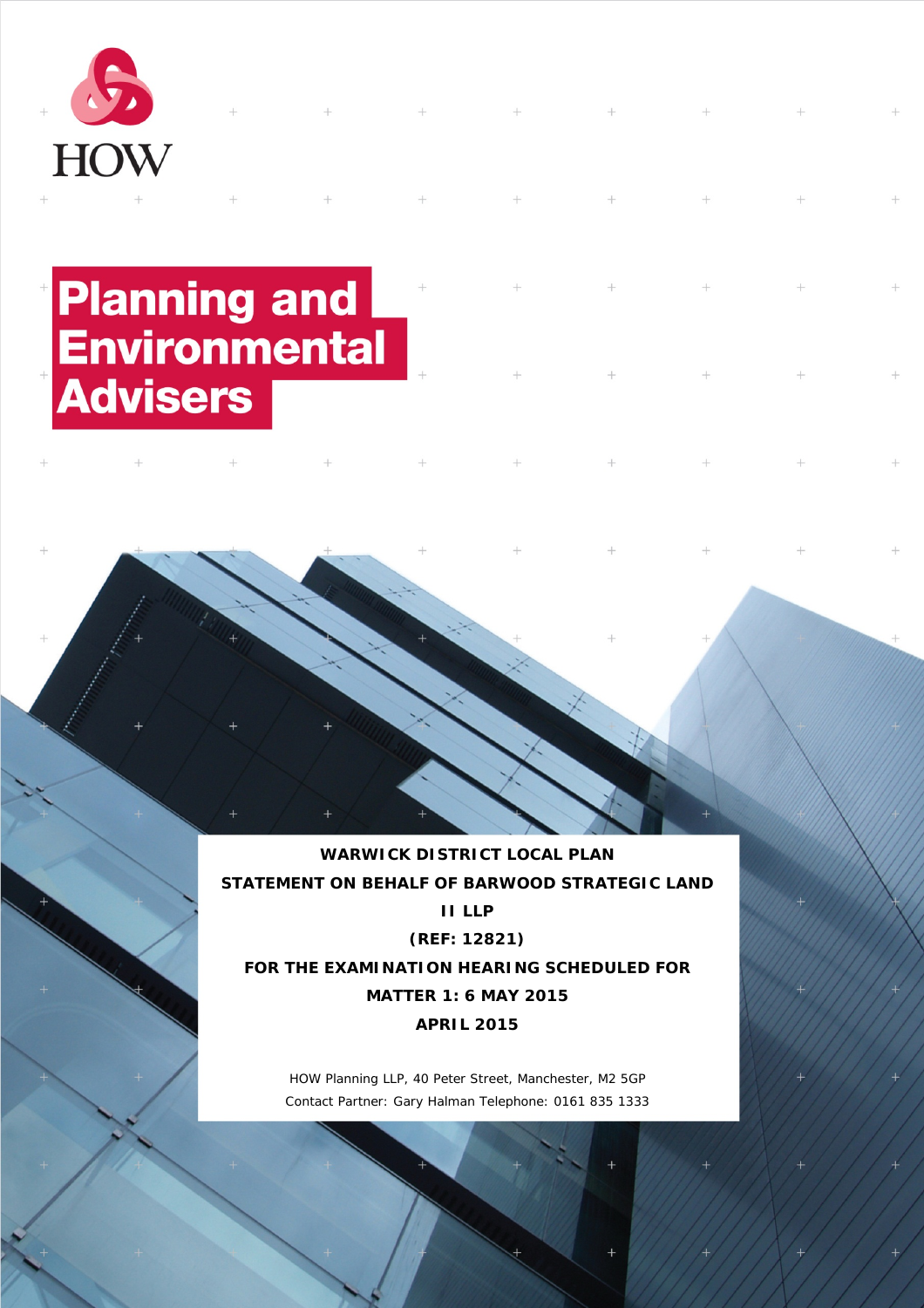

# **Planning and<br>Environmental**<br>Advisers

**WARWICK DISTRICT LOCAL PLAN STATEMENT ON BEHALF OF BARWOOD STRATEGIC LAND II LLP (REF: 12821) FOR THE EXAMINATION HEARING SCHEDULED FOR MATTER 1: 6 MAY 2015**

**APRIL 2015**

HOW Planning LLP, 40 Peter Street, Manchester, M2 5GP Contact Partner: Gary Halman Telephone: 0161 835 1333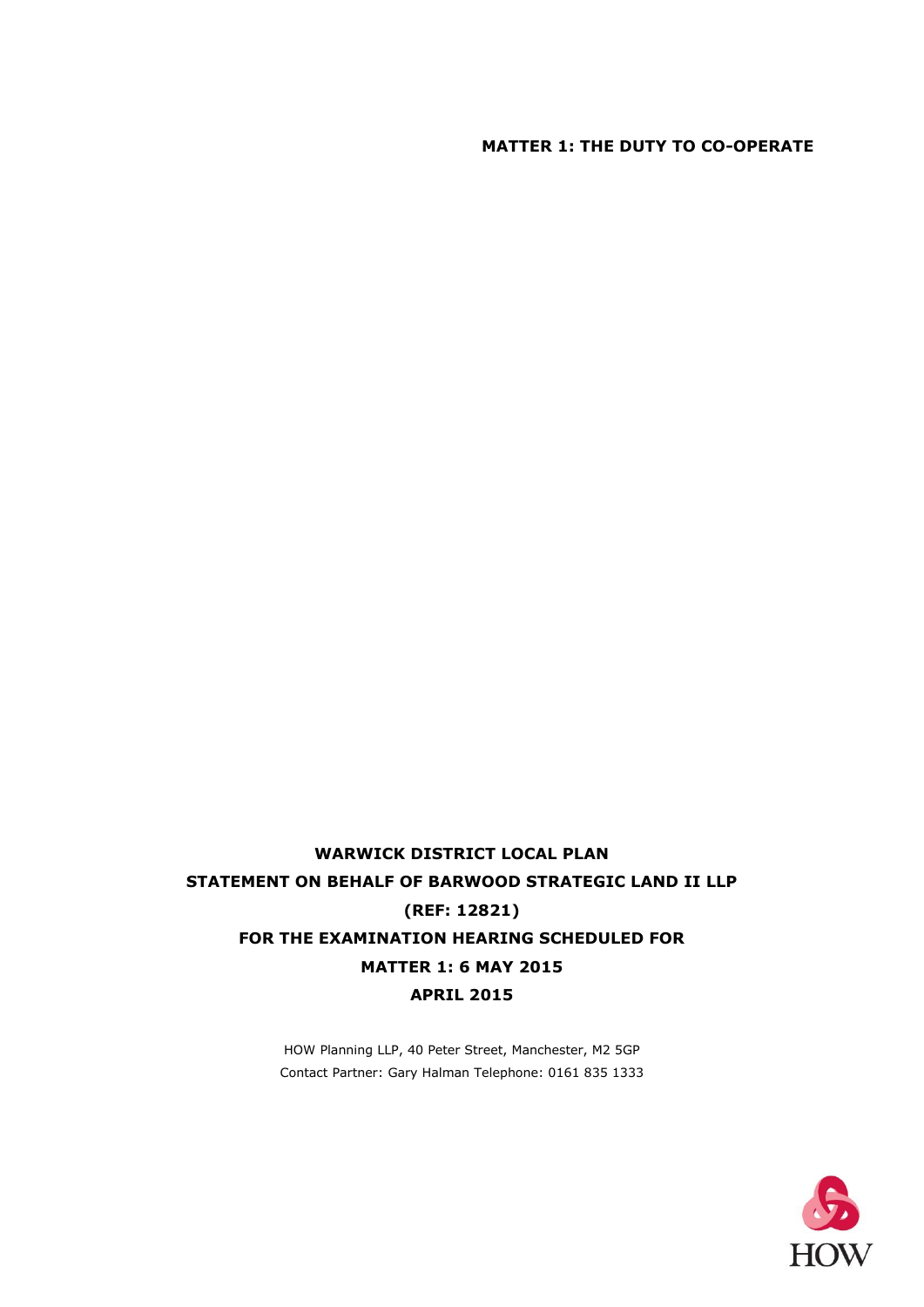### **MATTER 1: THE DUTY TO CO-OPERATE**

# **WARWICK DISTRICT LOCAL PLAN STATEMENT ON BEHALF OF BARWOOD STRATEGIC LAND II LLP (REF: 12821) FOR THE EXAMINATION HEARING SCHEDULED FOR MATTER 1: 6 MAY 2015 APRIL 2015**

HOW Planning LLP, 40 Peter Street, Manchester, M2 5GP Contact Partner: Gary Halman Telephone: 0161 835 1333

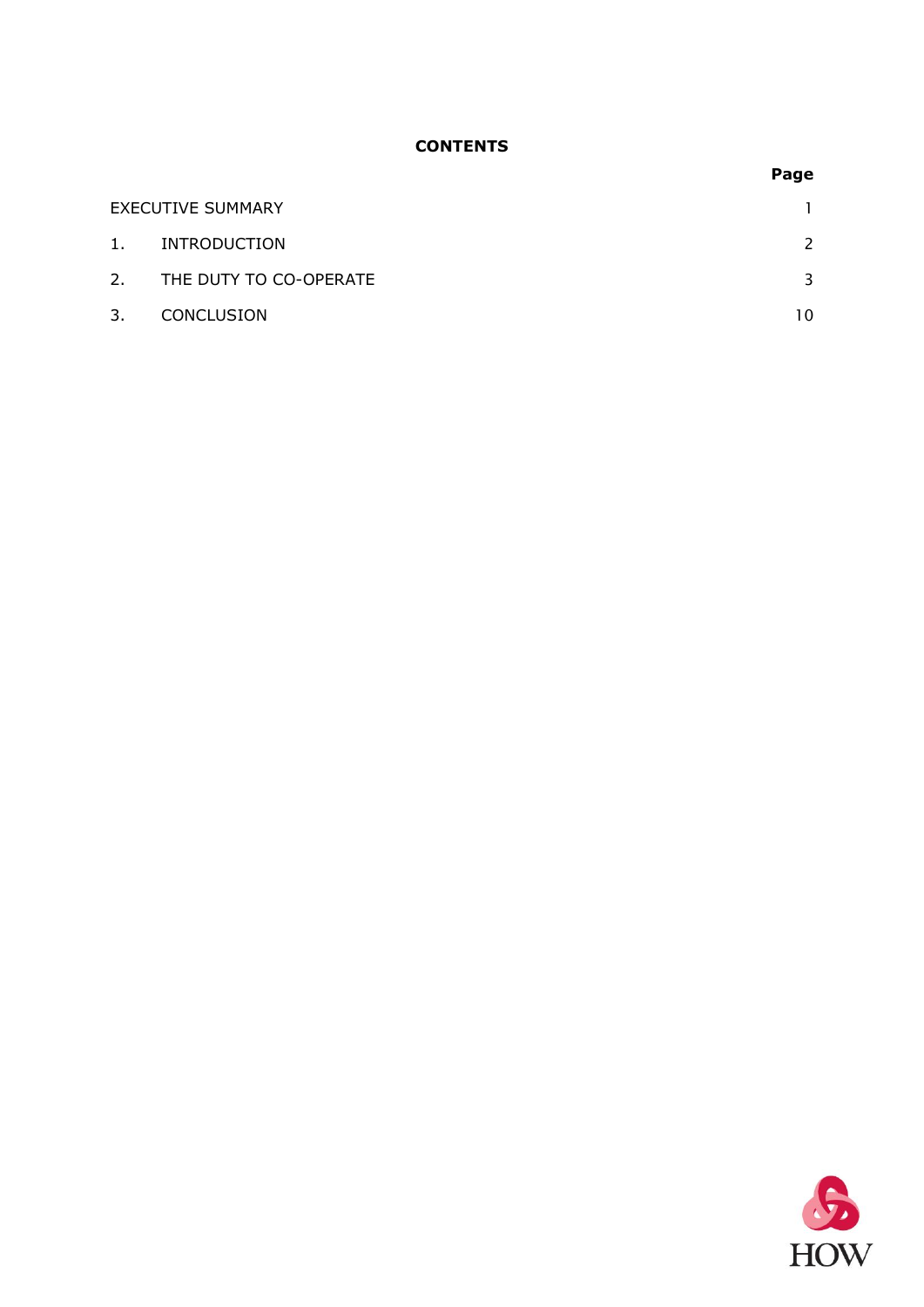### **CONTENTS**

|    |                          | Page |
|----|--------------------------|------|
|    | <b>EXECUTIVE SUMMARY</b> |      |
| 1. | INTRODUCTION             | 2    |
| 2. | THE DUTY TO CO-OPERATE   | 3    |
| 3. | <b>CONCLUSION</b>        | 10   |

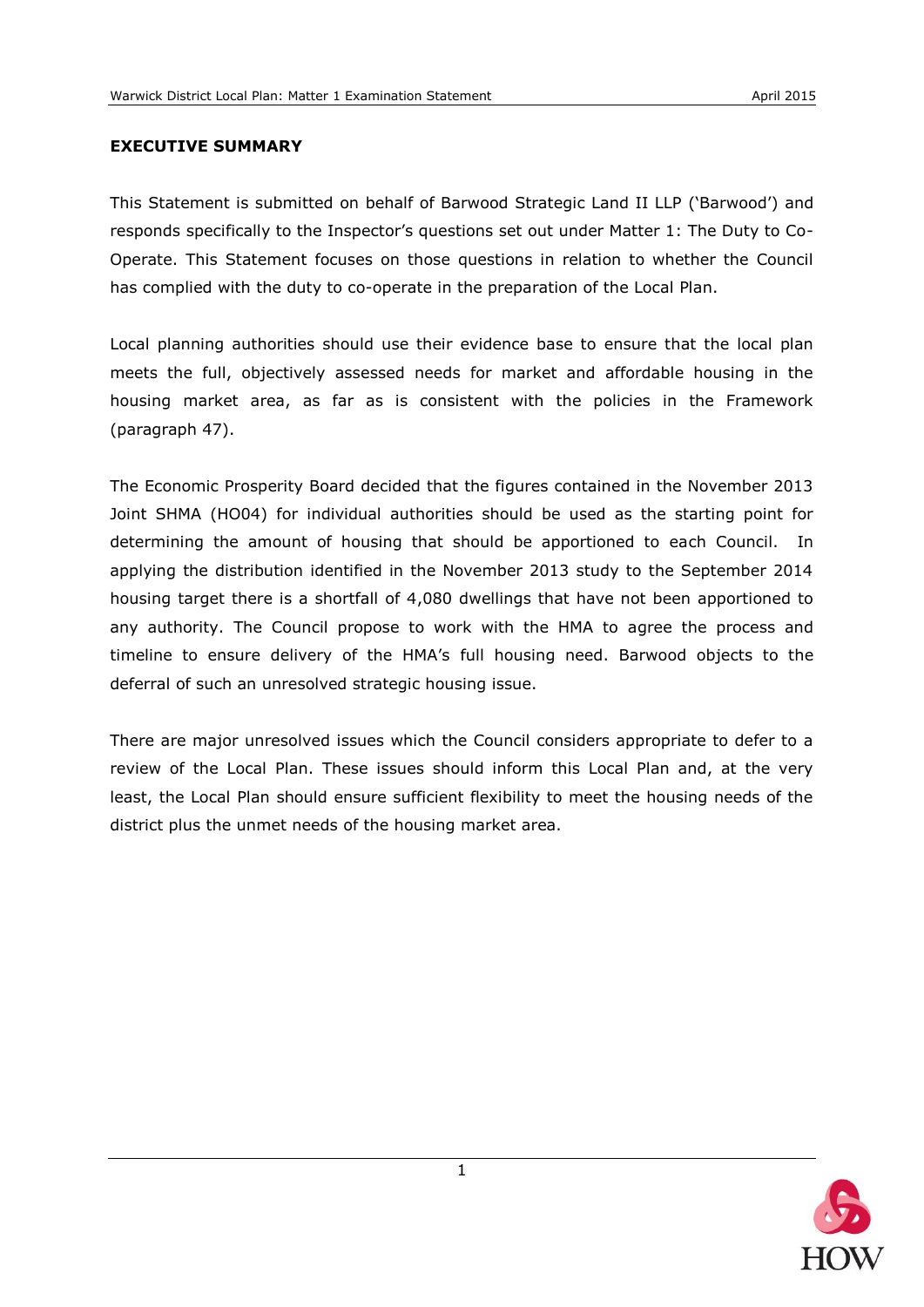### <span id="page-3-0"></span>**EXECUTIVE SUMMARY**

This Statement is submitted on behalf of Barwood Strategic Land II LLP ('Barwood') and responds specifically to the Inspector's questions set out under Matter 1: The Duty to Co-Operate. This Statement focuses on those questions in relation to whether the Council has complied with the duty to co-operate in the preparation of the Local Plan.

Local planning authorities should use their evidence base to ensure that the local plan meets the full, objectively assessed needs for market and affordable housing in the housing market area, as far as is consistent with the policies in the Framework (paragraph 47).

The Economic Prosperity Board decided that the figures contained in the November 2013 Joint SHMA (HO04) for individual authorities should be used as the starting point for determining the amount of housing that should be apportioned to each Council. In applying the distribution identified in the November 2013 study to the September 2014 housing target there is a shortfall of 4,080 dwellings that have not been apportioned to any authority. The Council propose to work with the HMA to agree the process and timeline to ensure delivery of the HMA's full housing need. Barwood objects to the deferral of such an unresolved strategic housing issue.

There are major unresolved issues which the Council considers appropriate to defer to a review of the Local Plan. These issues should inform this Local Plan and, at the very least, the Local Plan should ensure sufficient flexibility to meet the housing needs of the district plus the unmet needs of the housing market area.

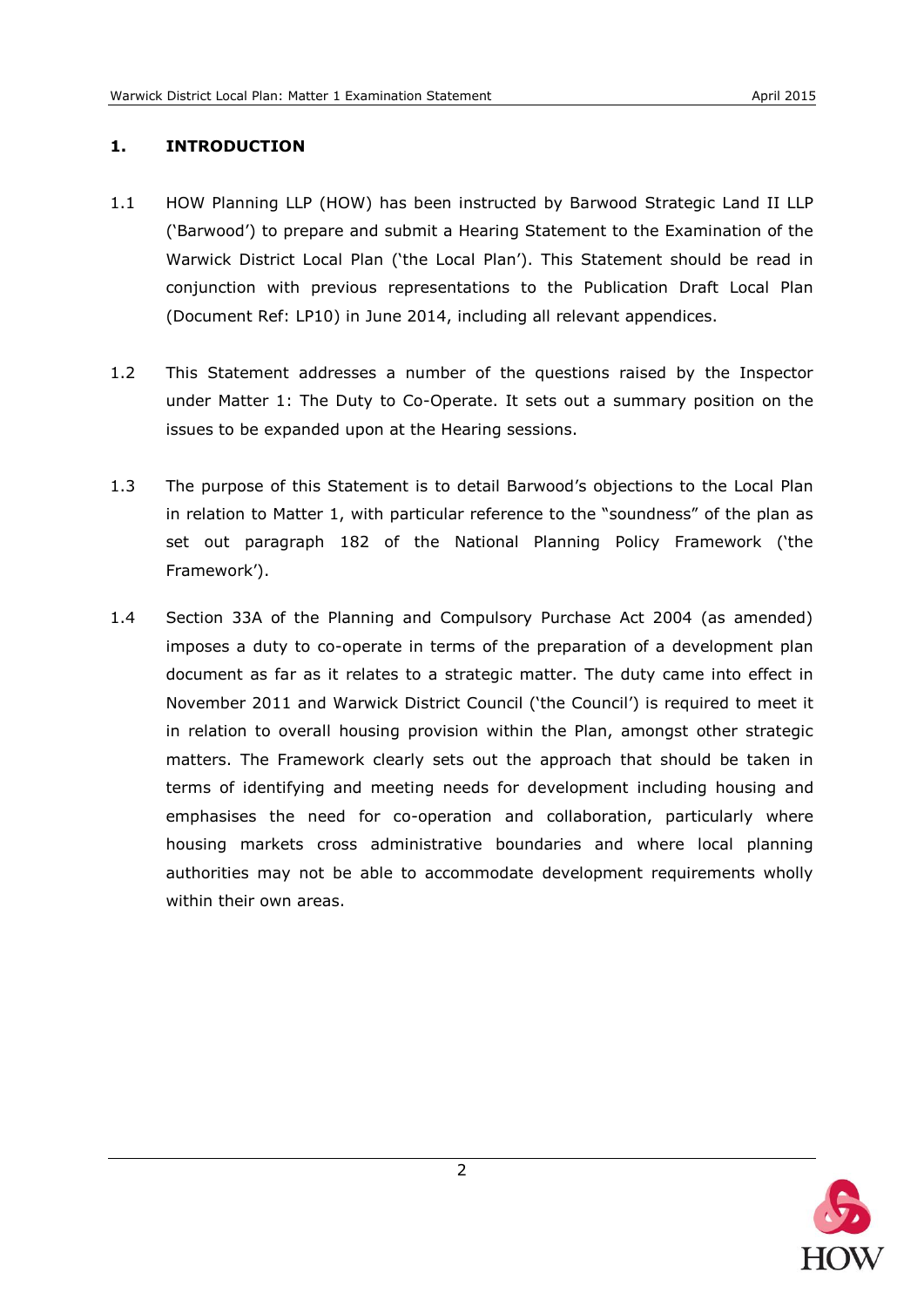### <span id="page-4-0"></span>**1. INTRODUCTION**

- 1.1 HOW Planning LLP (HOW) has been instructed by Barwood Strategic Land II LLP ('Barwood') to prepare and submit a Hearing Statement to the Examination of the Warwick District Local Plan ('the Local Plan'). This Statement should be read in conjunction with previous representations to the Publication Draft Local Plan (Document Ref: LP10) in June 2014, including all relevant appendices.
- 1.2 This Statement addresses a number of the questions raised by the Inspector under Matter 1: The Duty to Co-Operate. It sets out a summary position on the issues to be expanded upon at the Hearing sessions.
- 1.3 The purpose of this Statement is to detail Barwood's objections to the Local Plan in relation to Matter 1, with particular reference to the "soundness" of the plan as set out paragraph 182 of the National Planning Policy Framework ('the Framework').
- 1.4 Section 33A of the Planning and Compulsory Purchase Act 2004 (as amended) imposes a duty to co-operate in terms of the preparation of a development plan document as far as it relates to a strategic matter. The duty came into effect in November 2011 and Warwick District Council ('the Council') is required to meet it in relation to overall housing provision within the Plan, amongst other strategic matters. The Framework clearly sets out the approach that should be taken in terms of identifying and meeting needs for development including housing and emphasises the need for co-operation and collaboration, particularly where housing markets cross administrative boundaries and where local planning authorities may not be able to accommodate development requirements wholly within their own areas.

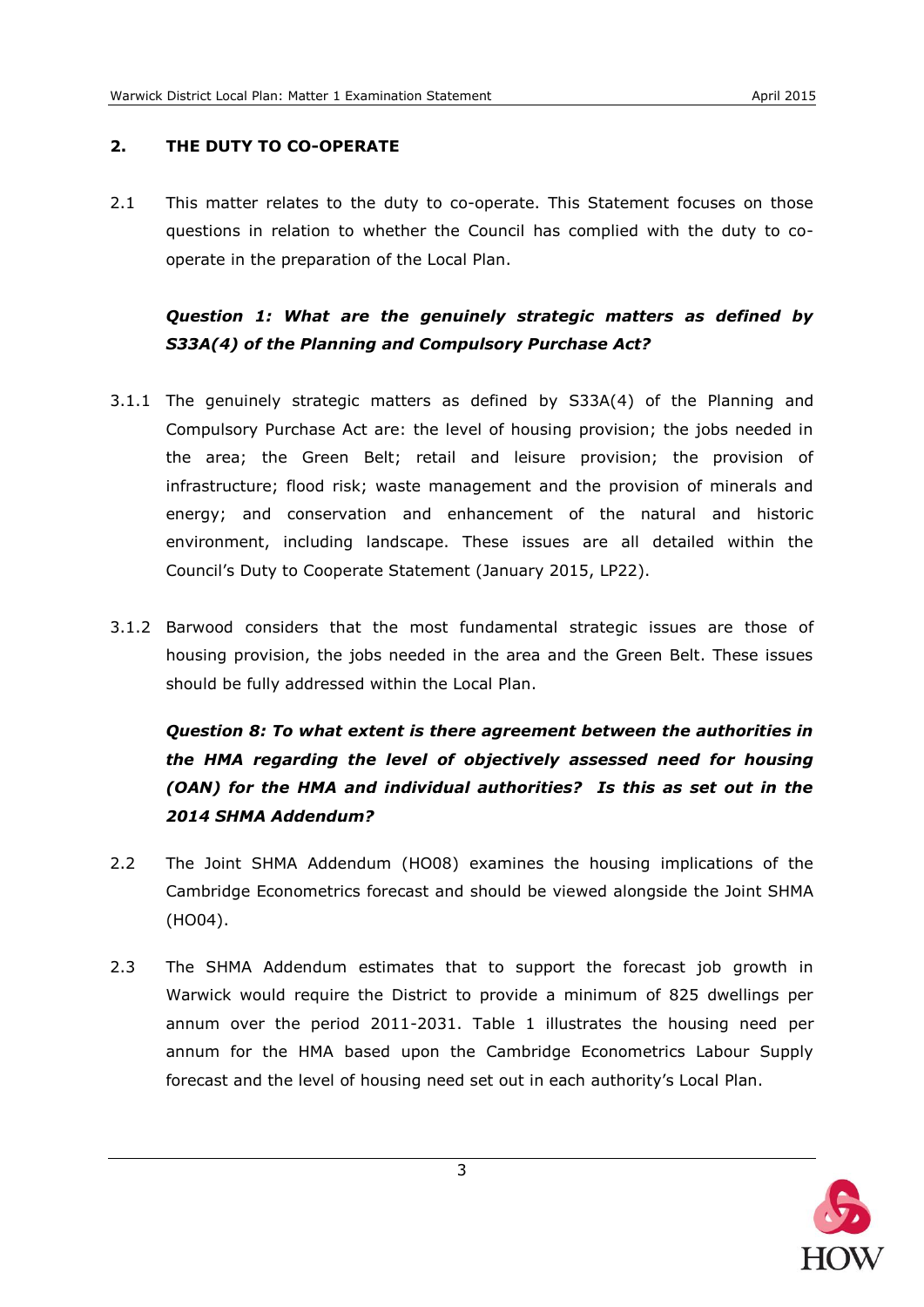### <span id="page-5-0"></span>**2. THE DUTY TO CO-OPERATE**

2.1 This matter relates to the duty to co-operate. This Statement focuses on those questions in relation to whether the Council has complied with the duty to cooperate in the preparation of the Local Plan.

# *Question 1: What are the genuinely strategic matters as defined by S33A(4) of the Planning and Compulsory Purchase Act?*

- 3.1.1 The genuinely strategic matters as defined by S33A(4) of the Planning and Compulsory Purchase Act are: the level of housing provision; the jobs needed in the area; the Green Belt; retail and leisure provision; the provision of infrastructure; flood risk; waste management and the provision of minerals and energy; and conservation and enhancement of the natural and historic environment, including landscape. These issues are all detailed within the Council's Duty to Cooperate Statement (January 2015, LP22).
- 3.1.2 Barwood considers that the most fundamental strategic issues are those of housing provision, the jobs needed in the area and the Green Belt. These issues should be fully addressed within the Local Plan.

*Question 8: To what extent is there agreement between the authorities in the HMA regarding the level of objectively assessed need for housing (OAN) for the HMA and individual authorities? Is this as set out in the 2014 SHMA Addendum?*

- 2.2 The Joint SHMA Addendum (HO08) examines the housing implications of the Cambridge Econometrics forecast and should be viewed alongside the Joint SHMA (HO04).
- 2.3 The SHMA Addendum estimates that to support the forecast job growth in Warwick would require the District to provide a minimum of 825 dwellings per annum over the period 2011-2031. Table 1 illustrates the housing need per annum for the HMA based upon the Cambridge Econometrics Labour Supply forecast and the level of housing need set out in each authority's Local Plan.

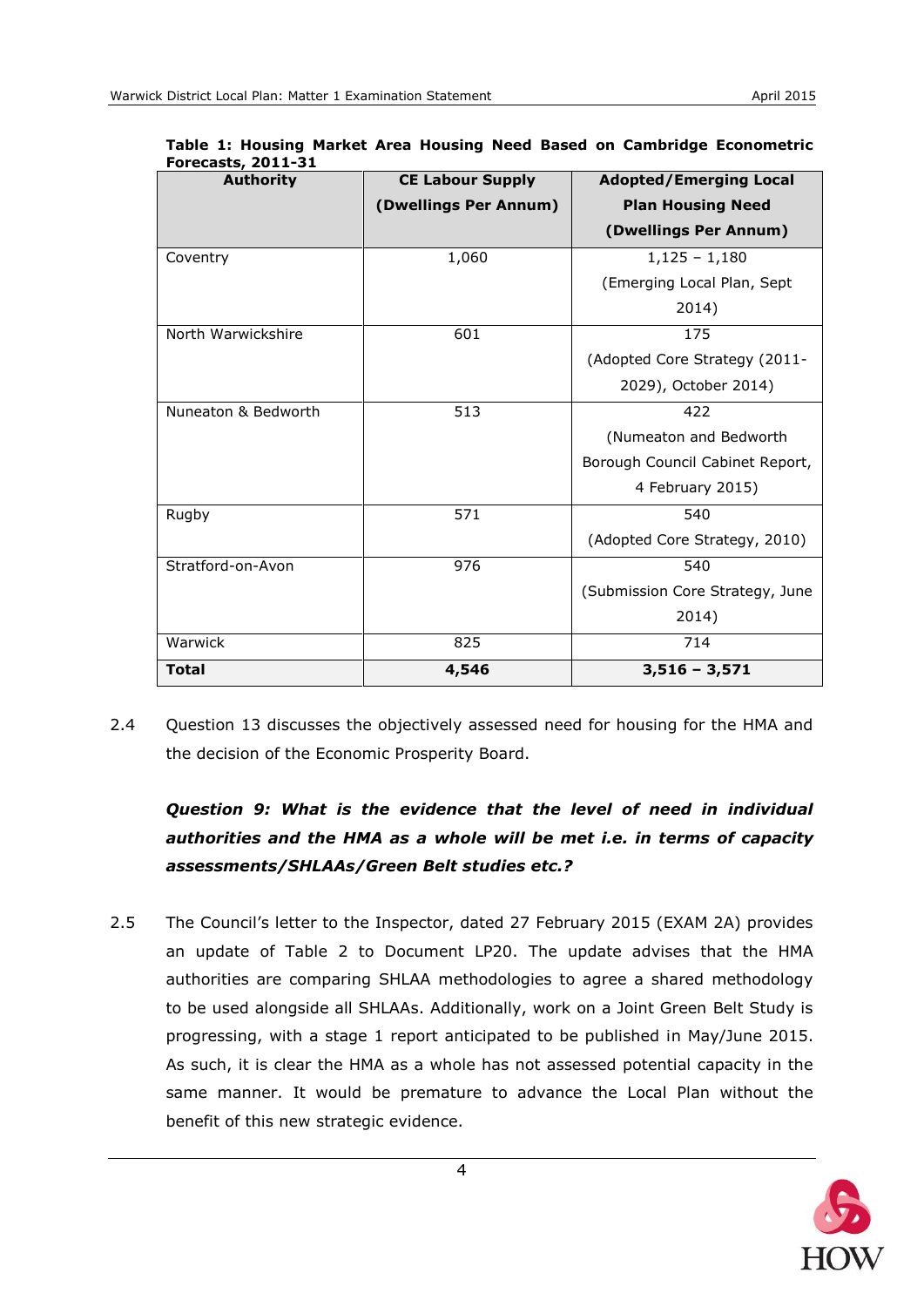| I VICLUJLJ, ŁVII JI<br><b>Authority</b> | <b>CE Labour Supply</b> | <b>Adopted/Emerging Local</b>   |  |  |  |
|-----------------------------------------|-------------------------|---------------------------------|--|--|--|
|                                         | (Dwellings Per Annum)   | <b>Plan Housing Need</b>        |  |  |  |
|                                         |                         | (Dwellings Per Annum)           |  |  |  |
| Coventry                                | 1,060                   | $1,125 - 1,180$                 |  |  |  |
|                                         |                         | (Emerging Local Plan, Sept      |  |  |  |
|                                         |                         | 2014)                           |  |  |  |
| North Warwickshire                      | 601                     | 175                             |  |  |  |
|                                         |                         | (Adopted Core Strategy (2011-   |  |  |  |
|                                         |                         | 2029), October 2014)            |  |  |  |
| Nuneaton & Bedworth                     | 513                     | 422                             |  |  |  |
|                                         |                         | (Numeaton and Bedworth          |  |  |  |
|                                         |                         | Borough Council Cabinet Report, |  |  |  |
|                                         |                         | 4 February 2015)                |  |  |  |
| Rugby                                   | 571                     | 540                             |  |  |  |
|                                         |                         | (Adopted Core Strategy, 2010)   |  |  |  |
| Stratford-on-Avon                       | 976                     | 540                             |  |  |  |
|                                         |                         | (Submission Core Strategy, June |  |  |  |
|                                         |                         | 2014)                           |  |  |  |
| Warwick                                 | 825                     | 714                             |  |  |  |
| <b>Total</b>                            | 4,546                   | $3,516 - 3,571$                 |  |  |  |

**Table 1: Housing Market Area Housing Need Based on Cambridge Econometric Forecasts, 2011-31** 

2.4 Question 13 discusses the objectively assessed need for housing for the HMA and the decision of the Economic Prosperity Board.

# *Question 9: What is the evidence that the level of need in individual authorities and the HMA as a whole will be met i.e. in terms of capacity assessments/SHLAAs/Green Belt studies etc.?*

2.5 The Council's letter to the Inspector, dated 27 February 2015 (EXAM 2A) provides an update of Table 2 to Document LP20. The update advises that the HMA authorities are comparing SHLAA methodologies to agree a shared methodology to be used alongside all SHLAAs. Additionally, work on a Joint Green Belt Study is progressing, with a stage 1 report anticipated to be published in May/June 2015. As such, it is clear the HMA as a whole has not assessed potential capacity in the same manner. It would be premature to advance the Local Plan without the benefit of this new strategic evidence.

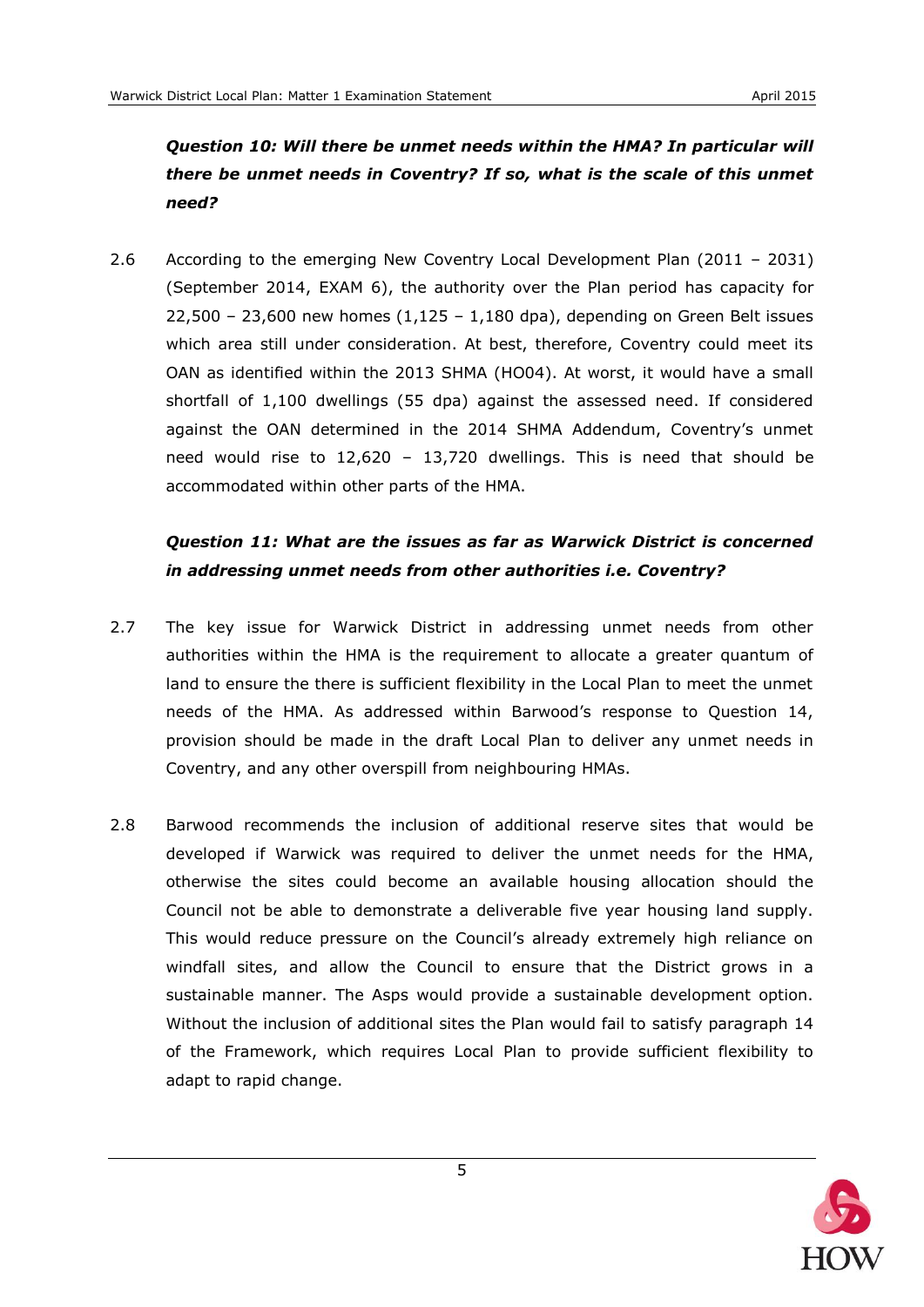# *Question 10: Will there be unmet needs within the HMA? In particular will there be unmet needs in Coventry? If so, what is the scale of this unmet need?*

2.6 According to the emerging New Coventry Local Development Plan (2011 – 2031) (September 2014, EXAM 6), the authority over the Plan period has capacity for  $22,500 - 23,600$  new homes  $(1,125 - 1,180$  dpa), depending on Green Belt issues which area still under consideration. At best, therefore, Coventry could meet its OAN as identified within the 2013 SHMA (HO04). At worst, it would have a small shortfall of 1,100 dwellings (55 dpa) against the assessed need. If considered against the OAN determined in the 2014 SHMA Addendum, Coventry's unmet need would rise to 12,620 – 13,720 dwellings. This is need that should be accommodated within other parts of the HMA.

# *Question 11: What are the issues as far as Warwick District is concerned in addressing unmet needs from other authorities i.e. Coventry?*

- 2.7 The key issue for Warwick District in addressing unmet needs from other authorities within the HMA is the requirement to allocate a greater quantum of land to ensure the there is sufficient flexibility in the Local Plan to meet the unmet needs of the HMA. As addressed within Barwood's response to Question 14, provision should be made in the draft Local Plan to deliver any unmet needs in Coventry, and any other overspill from neighbouring HMAs.
- 2.8 Barwood recommends the inclusion of additional reserve sites that would be developed if Warwick was required to deliver the unmet needs for the HMA, otherwise the sites could become an available housing allocation should the Council not be able to demonstrate a deliverable five year housing land supply. This would reduce pressure on the Council's already extremely high reliance on windfall sites, and allow the Council to ensure that the District grows in a sustainable manner. The Asps would provide a sustainable development option. Without the inclusion of additional sites the Plan would fail to satisfy paragraph 14 of the Framework, which requires Local Plan to provide sufficient flexibility to adapt to rapid change.

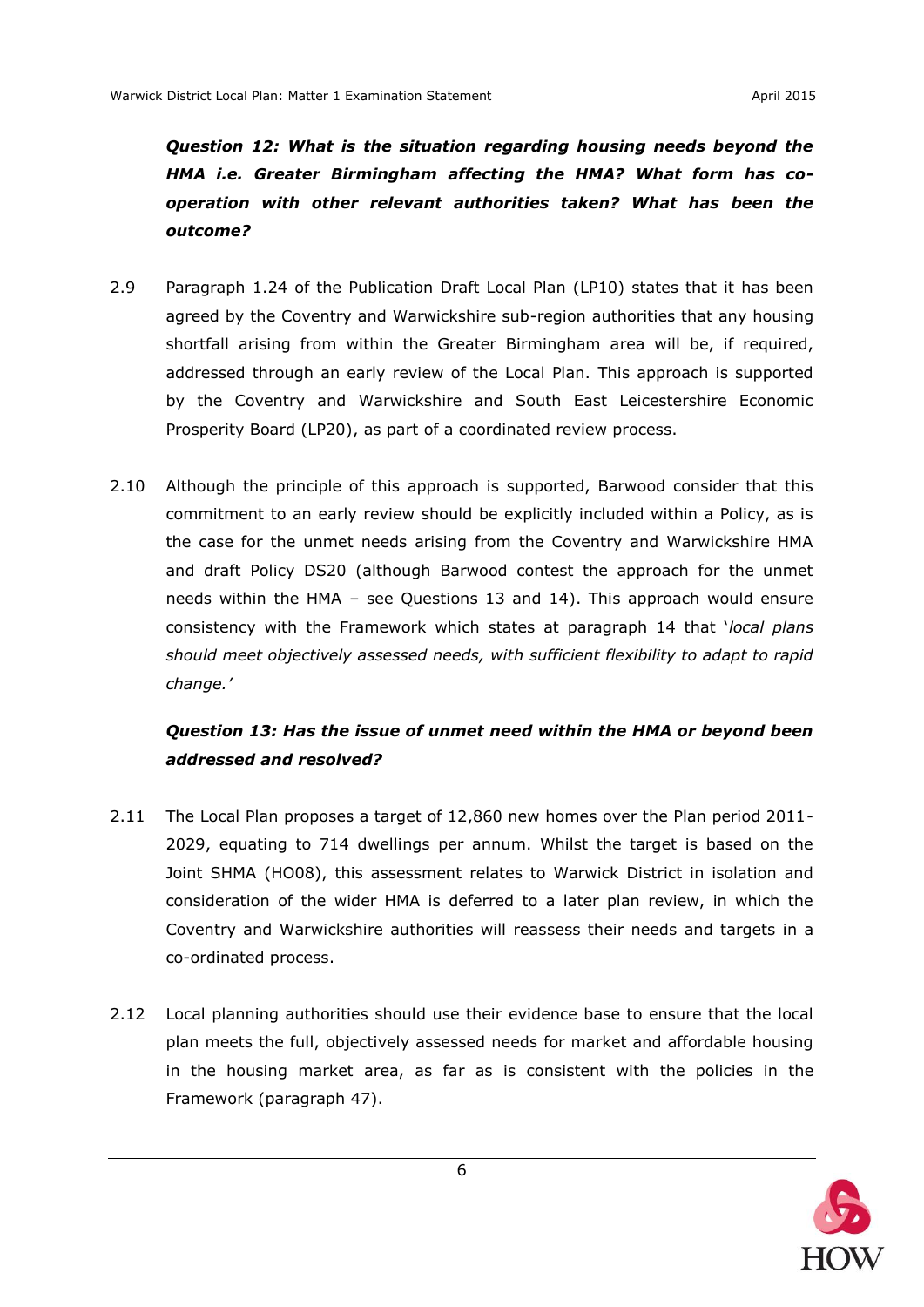*Question 12: What is the situation regarding housing needs beyond the HMA i.e. Greater Birmingham affecting the HMA? What form has cooperation with other relevant authorities taken? What has been the outcome?*

- 2.9 Paragraph 1.24 of the Publication Draft Local Plan (LP10) states that it has been agreed by the Coventry and Warwickshire sub-region authorities that any housing shortfall arising from within the Greater Birmingham area will be, if required, addressed through an early review of the Local Plan. This approach is supported by the Coventry and Warwickshire and South East Leicestershire Economic Prosperity Board (LP20), as part of a coordinated review process.
- 2.10 Although the principle of this approach is supported, Barwood consider that this commitment to an early review should be explicitly included within a Policy, as is the case for the unmet needs arising from the Coventry and Warwickshire HMA and draft Policy DS20 (although Barwood contest the approach for the unmet needs within the HMA – see Questions 13 and 14). This approach would ensure consistency with the Framework which states at paragraph 14 that '*local plans should meet objectively assessed needs, with sufficient flexibility to adapt to rapid change.'*

## *Question 13: Has the issue of unmet need within the HMA or beyond been addressed and resolved?*

- 2.11 The Local Plan proposes a target of 12,860 new homes over the Plan period 2011- 2029, equating to 714 dwellings per annum. Whilst the target is based on the Joint SHMA (HO08), this assessment relates to Warwick District in isolation and consideration of the wider HMA is deferred to a later plan review, in which the Coventry and Warwickshire authorities will reassess their needs and targets in a co-ordinated process.
- 2.12 Local planning authorities should use their evidence base to ensure that the local plan meets the full, objectively assessed needs for market and affordable housing in the housing market area, as far as is consistent with the policies in the Framework (paragraph 47).

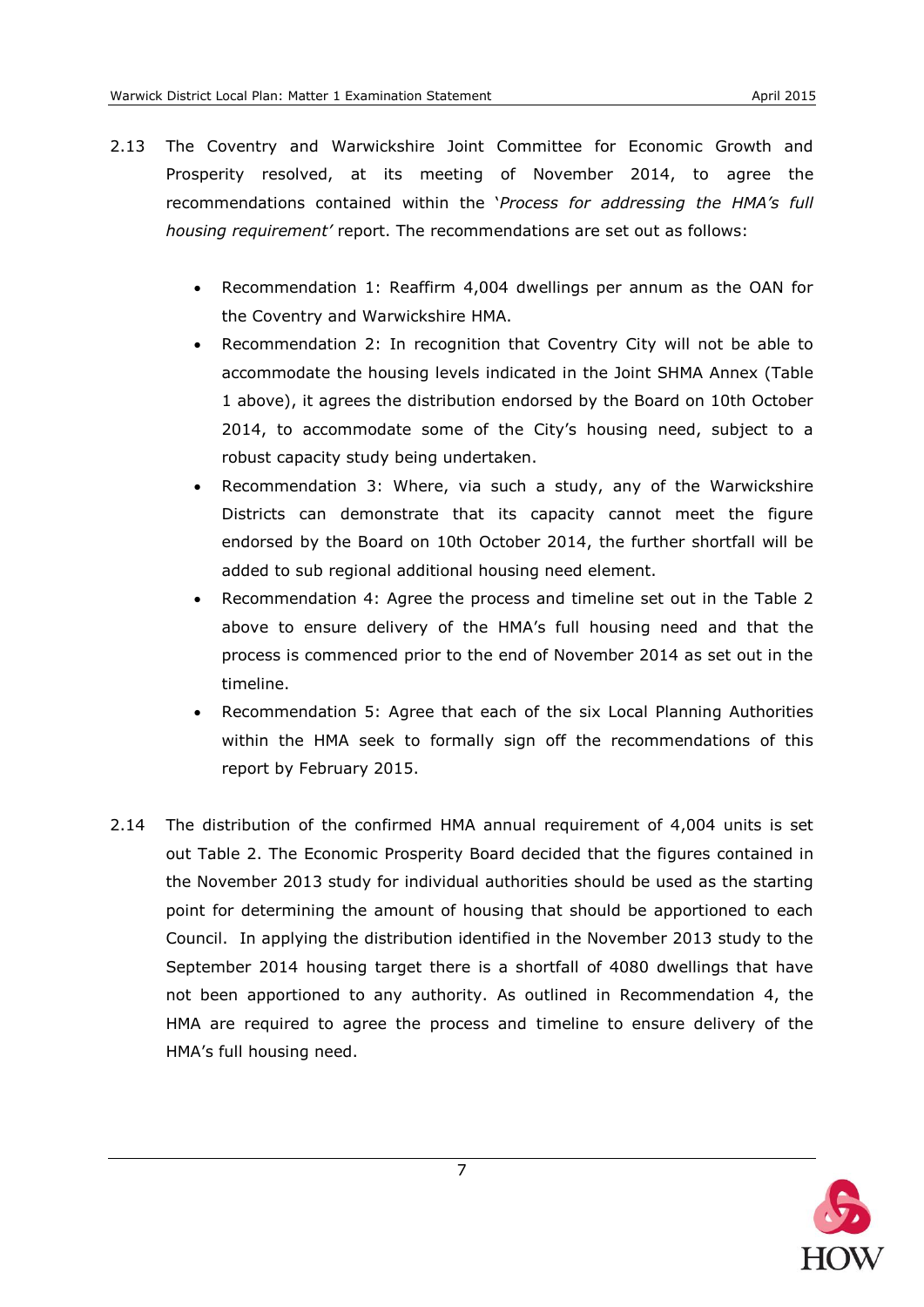- 2.13 The Coventry and Warwickshire Joint Committee for Economic Growth and Prosperity resolved, at its meeting of November 2014, to agree the recommendations contained within the '*Process for addressing the HMA's full housing requirement'* report. The recommendations are set out as follows:
	- Recommendation 1: Reaffirm 4,004 dwellings per annum as the OAN for the Coventry and Warwickshire HMA.
	- Recommendation 2: In recognition that Coventry City will not be able to accommodate the housing levels indicated in the Joint SHMA Annex (Table 1 above), it agrees the distribution endorsed by the Board on 10th October 2014, to accommodate some of the City's housing need, subject to a robust capacity study being undertaken.
	- Recommendation 3: Where, via such a study, any of the Warwickshire Districts can demonstrate that its capacity cannot meet the figure endorsed by the Board on 10th October 2014, the further shortfall will be added to sub regional additional housing need element.
	- Recommendation 4: Agree the process and timeline set out in the Table 2 above to ensure delivery of the HMA's full housing need and that the process is commenced prior to the end of November 2014 as set out in the timeline.
	- Recommendation 5: Agree that each of the six Local Planning Authorities within the HMA seek to formally sign off the recommendations of this report by February 2015.
- 2.14 The distribution of the confirmed HMA annual requirement of 4,004 units is set out Table 2. The Economic Prosperity Board decided that the figures contained in the November 2013 study for individual authorities should be used as the starting point for determining the amount of housing that should be apportioned to each Council. In applying the distribution identified in the November 2013 study to the September 2014 housing target there is a shortfall of 4080 dwellings that have not been apportioned to any authority. As outlined in Recommendation 4, the HMA are required to agree the process and timeline to ensure delivery of the HMA's full housing need.

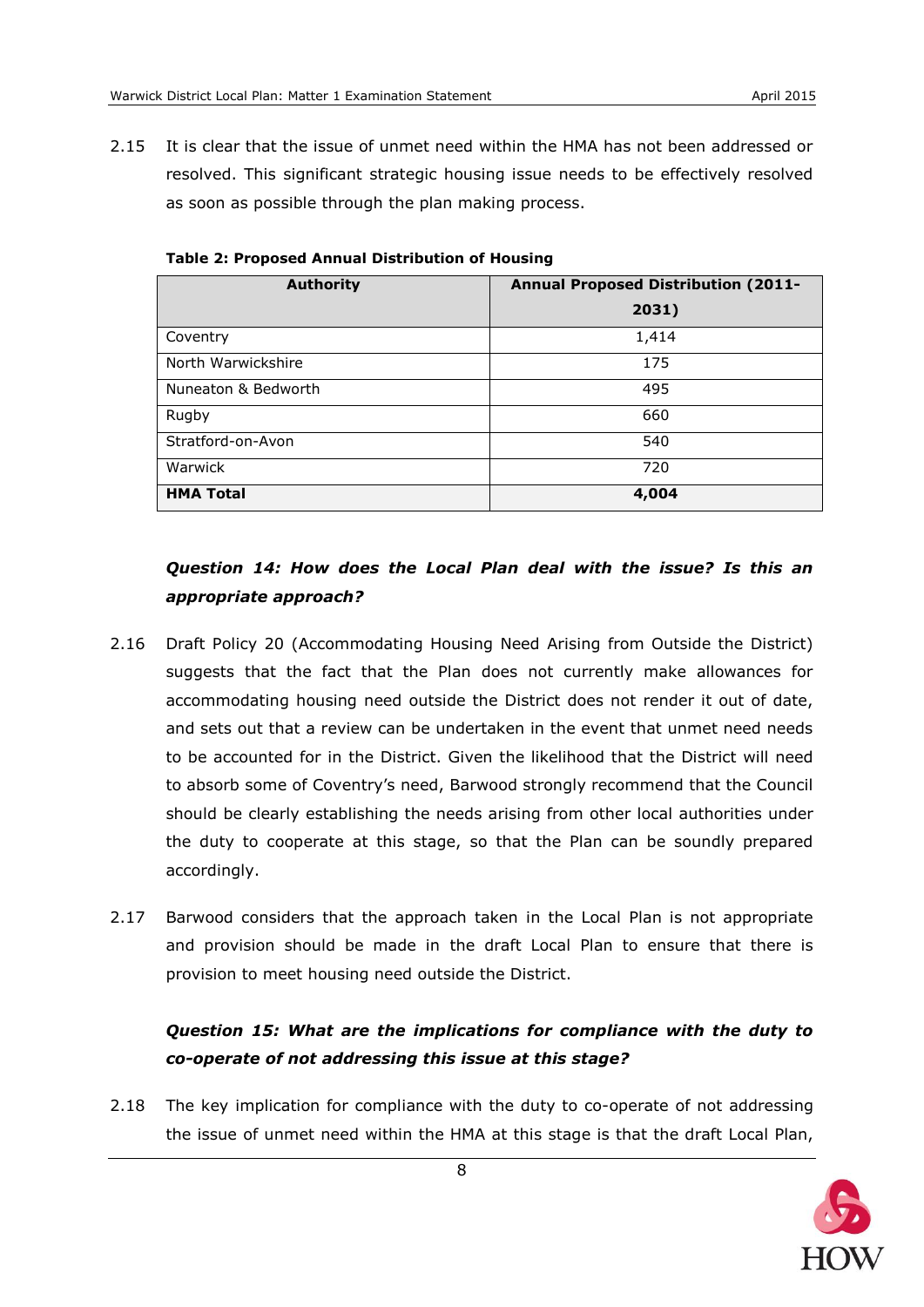2.15 It is clear that the issue of unmet need within the HMA has not been addressed or resolved. This significant strategic housing issue needs to be effectively resolved as soon as possible through the plan making process.

| <b>Authority</b>    | <b>Annual Proposed Distribution (2011-</b> |  |  |  |
|---------------------|--------------------------------------------|--|--|--|
|                     | 2031)                                      |  |  |  |
| Coventry            | 1,414                                      |  |  |  |
| North Warwickshire  | 175                                        |  |  |  |
| Nuneaton & Bedworth | 495                                        |  |  |  |
| Rugby               | 660                                        |  |  |  |
| Stratford-on-Avon   | 540                                        |  |  |  |
| Warwick             | 720                                        |  |  |  |
| <b>HMA Total</b>    | 4,004                                      |  |  |  |

**Table 2: Proposed Annual Distribution of Housing** 

## *Question 14: How does the Local Plan deal with the issue? Is this an appropriate approach?*

- 2.16 Draft Policy 20 (Accommodating Housing Need Arising from Outside the District) suggests that the fact that the Plan does not currently make allowances for accommodating housing need outside the District does not render it out of date, and sets out that a review can be undertaken in the event that unmet need needs to be accounted for in the District. Given the likelihood that the District will need to absorb some of Coventry's need, Barwood strongly recommend that the Council should be clearly establishing the needs arising from other local authorities under the duty to cooperate at this stage, so that the Plan can be soundly prepared accordingly.
- 2.17 Barwood considers that the approach taken in the Local Plan is not appropriate and provision should be made in the draft Local Plan to ensure that there is provision to meet housing need outside the District.

# *Question 15: What are the implications for compliance with the duty to co-operate of not addressing this issue at this stage?*

2.18 The key implication for compliance with the duty to co-operate of not addressing the issue of unmet need within the HMA at this stage is that the draft Local Plan,

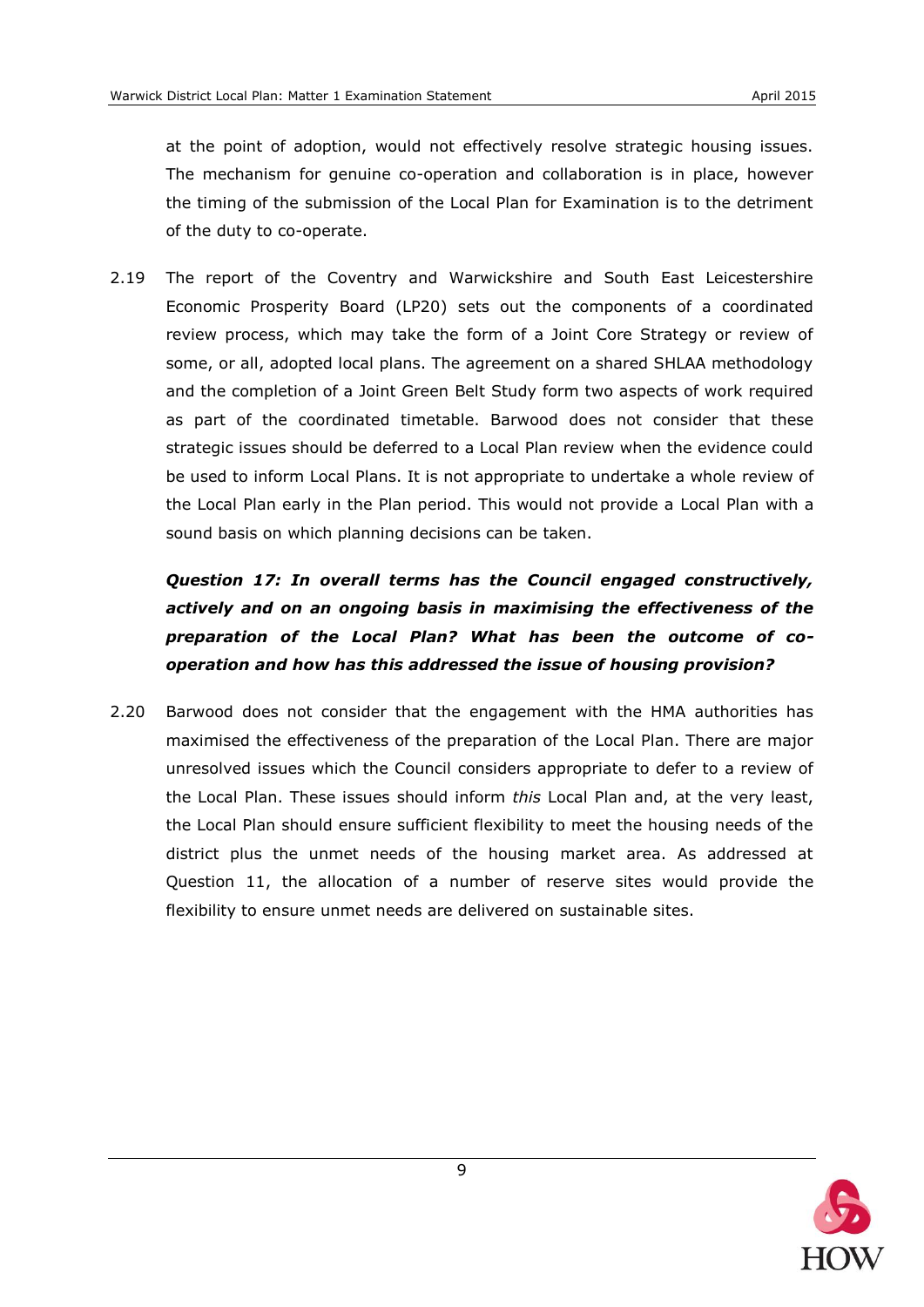at the point of adoption, would not effectively resolve strategic housing issues. The mechanism for genuine co-operation and collaboration is in place, however the timing of the submission of the Local Plan for Examination is to the detriment of the duty to co-operate.

2.19 The report of the Coventry and Warwickshire and South East Leicestershire Economic Prosperity Board (LP20) sets out the components of a coordinated review process, which may take the form of a Joint Core Strategy or review of some, or all, adopted local plans. The agreement on a shared SHLAA methodology and the completion of a Joint Green Belt Study form two aspects of work required as part of the coordinated timetable. Barwood does not consider that these strategic issues should be deferred to a Local Plan review when the evidence could be used to inform Local Plans. It is not appropriate to undertake a whole review of the Local Plan early in the Plan period. This would not provide a Local Plan with a sound basis on which planning decisions can be taken.

*Question 17: In overall terms has the Council engaged constructively, actively and on an ongoing basis in maximising the effectiveness of the preparation of the Local Plan? What has been the outcome of cooperation and how has this addressed the issue of housing provision?*

2.20 Barwood does not consider that the engagement with the HMA authorities has maximised the effectiveness of the preparation of the Local Plan. There are major unresolved issues which the Council considers appropriate to defer to a review of the Local Plan. These issues should inform *this* Local Plan and, at the very least, the Local Plan should ensure sufficient flexibility to meet the housing needs of the district plus the unmet needs of the housing market area. As addressed at Question 11, the allocation of a number of reserve sites would provide the flexibility to ensure unmet needs are delivered on sustainable sites.

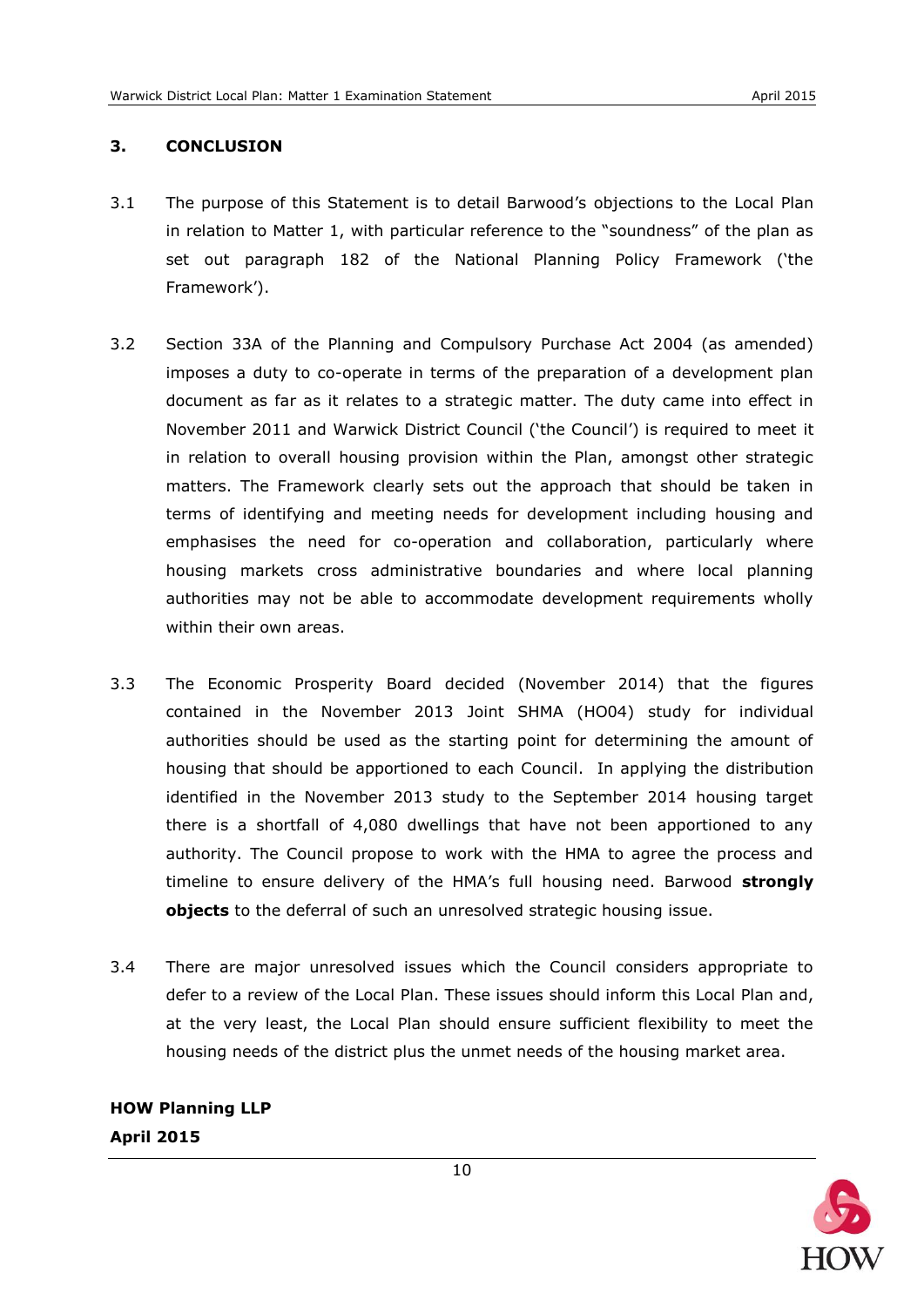### <span id="page-12-0"></span>**3. CONCLUSION**

- 3.1 The purpose of this Statement is to detail Barwood's objections to the Local Plan in relation to Matter 1, with particular reference to the "soundness" of the plan as set out paragraph 182 of the National Planning Policy Framework ('the Framework').
- 3.2 Section 33A of the Planning and Compulsory Purchase Act 2004 (as amended) imposes a duty to co-operate in terms of the preparation of a development plan document as far as it relates to a strategic matter. The duty came into effect in November 2011 and Warwick District Council ('the Council') is required to meet it in relation to overall housing provision within the Plan, amongst other strategic matters. The Framework clearly sets out the approach that should be taken in terms of identifying and meeting needs for development including housing and emphasises the need for co-operation and collaboration, particularly where housing markets cross administrative boundaries and where local planning authorities may not be able to accommodate development requirements wholly within their own areas.
- 3.3 The Economic Prosperity Board decided (November 2014) that the figures contained in the November 2013 Joint SHMA (HO04) study for individual authorities should be used as the starting point for determining the amount of housing that should be apportioned to each Council. In applying the distribution identified in the November 2013 study to the September 2014 housing target there is a shortfall of 4,080 dwellings that have not been apportioned to any authority. The Council propose to work with the HMA to agree the process and timeline to ensure delivery of the HMA's full housing need. Barwood **strongly objects** to the deferral of such an unresolved strategic housing issue.
- 3.4 There are major unresolved issues which the Council considers appropriate to defer to a review of the Local Plan. These issues should inform this Local Plan and, at the very least, the Local Plan should ensure sufficient flexibility to meet the housing needs of the district plus the unmet needs of the housing market area.

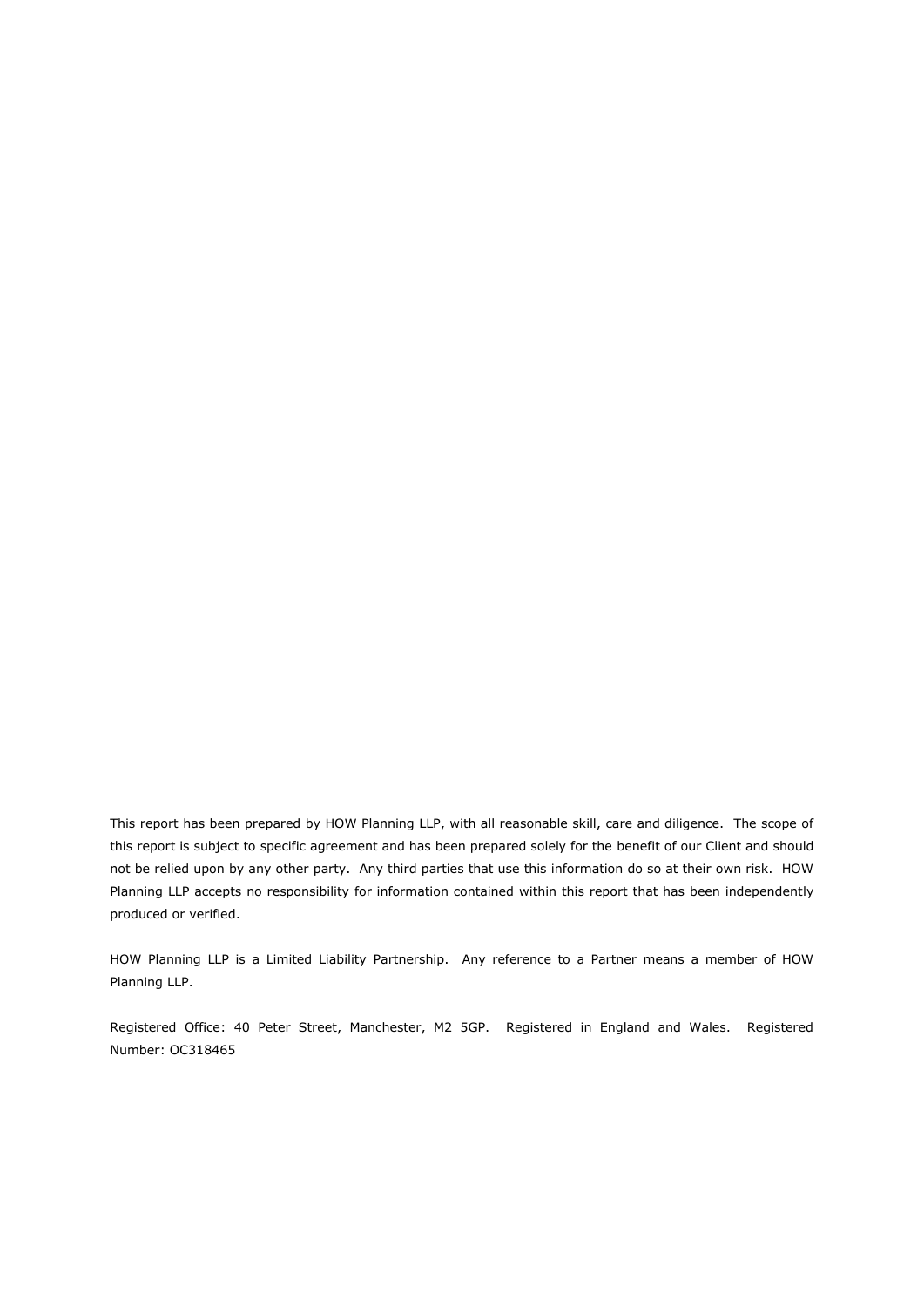This report has been prepared by HOW Planning LLP, with all reasonable skill, care and diligence. The scope of this report is subject to specific agreement and has been prepared solely for the benefit of our Client and should not be relied upon by any other party. Any third parties that use this information do so at their own risk. HOW Planning LLP accepts no responsibility for information contained within this report that has been independently produced or verified.

HOW Planning LLP is a Limited Liability Partnership. Any reference to a Partner means a member of HOW Planning LLP.

Registered Office: 40 Peter Street, Manchester, M2 5GP. Registered in England and Wales. Registered Number: OC318465